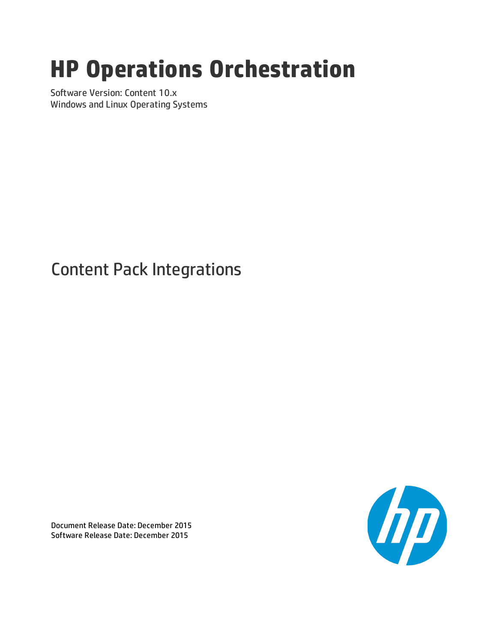# **HP Operations Orchestration**

Software Version: Content 10.x Windows and Linux Operating Systems

#### Content Pack Integrations



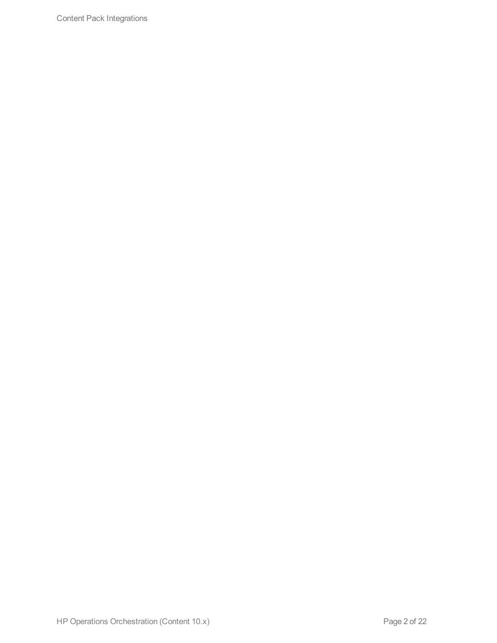Content Pack Integrations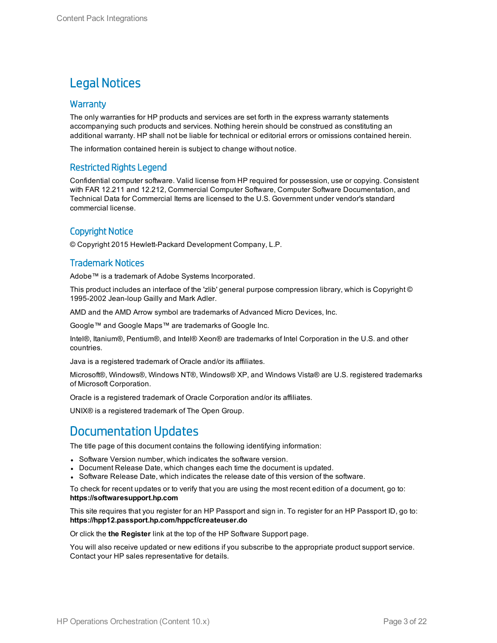#### Legal Notices

#### **Warranty**

The only warranties for HP products and services are set forth in the express warranty statements accompanying such products and services. Nothing herein should be construed as constituting an additional warranty. HP shall not be liable for technical or editorial errors or omissions contained herein.

The information contained herein is subject to change without notice.

#### Restricted Rights Legend

Confidential computer software. Valid license from HP required for possession, use or copying. Consistent with FAR 12.211 and 12.212, Commercial Computer Software, Computer Software Documentation, and Technical Data for Commercial Items are licensed to the U.S. Government under vendor's standard commercial license.

#### Copyright Notice

© Copyright 2015 Hewlett-Packard Development Company, L.P.

#### Trademark Notices

Adobe™ is a trademark of Adobe Systems Incorporated.

This product includes an interface of the 'zlib' general purpose compression library, which is Copyright © 1995-2002 Jean-loup Gailly and Mark Adler.

AMD and the AMD Arrow symbol are trademarks of Advanced Micro Devices, Inc.

Google™ and Google Maps™ are trademarks of Google Inc.

Intel®, Itanium®, Pentium®, and Intel® Xeon® are trademarks of Intel Corporation in the U.S. and other countries.

Java is a registered trademark of Oracle and/or its affiliates.

Microsoft®, Windows®, Windows NT®, Windows® XP, and Windows Vista® are U.S. registered trademarks of Microsoft Corporation.

Oracle is a registered trademark of Oracle Corporation and/or its affiliates.

UNIX® is a registered trademark of The Open Group.

#### Documentation Updates

The title page of this document contains the following identifying information:

- Software Version number, which indicates the software version.
- Document Release Date, which changes each time the document is updated.
- <sup>l</sup> Software Release Date, which indicates the release date of this version of the software.

To check for recent updates or to verify that you are using the most recent edition of a document, go to: **https://softwaresupport.hp.com**

This site requires that you register for an HP Passport and sign in. To register for an HP Passport ID, go to: **https://hpp12.passport.hp.com/hppcf/createuser.do**

Or click the **the Register** link at the top of the HP Software Support page.

You will also receive updated or new editions if you subscribe to the appropriate product support service. Contact your HP sales representative for details.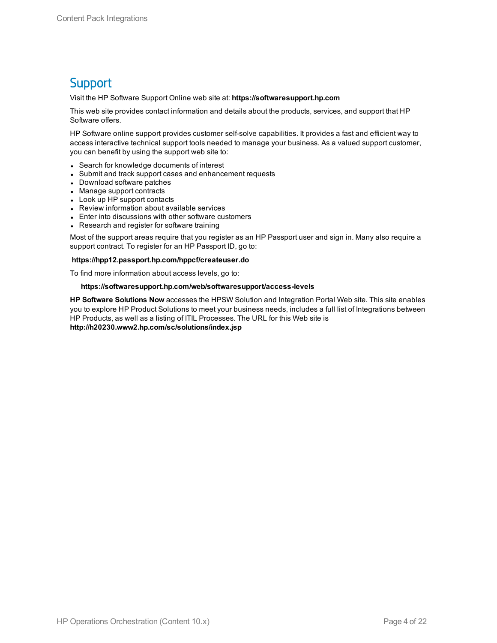#### **Support**

Visit the HP Software Support Online web site at: **https://softwaresupport.hp.com**

This web site provides contact information and details about the products, services, and support that HP Software offers.

HP Software online support provides customer self-solve capabilities. It provides a fast and efficient way to access interactive technical support tools needed to manage your business. As a valued support customer, you can benefit by using the support web site to:

- Search for knowledge documents of interest
- Submit and track support cases and enhancement requests
- Download software patches
- Manage support contracts
- Look up HP support contacts
- Review information about available services
- Enter into discussions with other software customers
- Research and register for software training

Most of the support areas require that you register as an HP Passport user and sign in. Many also require a support contract. To register for an HP Passport ID, go to:

#### **https://hpp12.passport.hp.com/hppcf/createuser.do**

To find more information about access levels, go to:

#### **https://softwaresupport.hp.com/web/softwaresupport/access-levels**

**HP Software Solutions Now** accesses the HPSW Solution and Integration Portal Web site. This site enables you to explore HP Product Solutions to meet your business needs, includes a full list of Integrations between HP Products, as well as a listing of ITIL Processes. The URL for this Web site is **http://h20230.www2.hp.com/sc/solutions/index.jsp**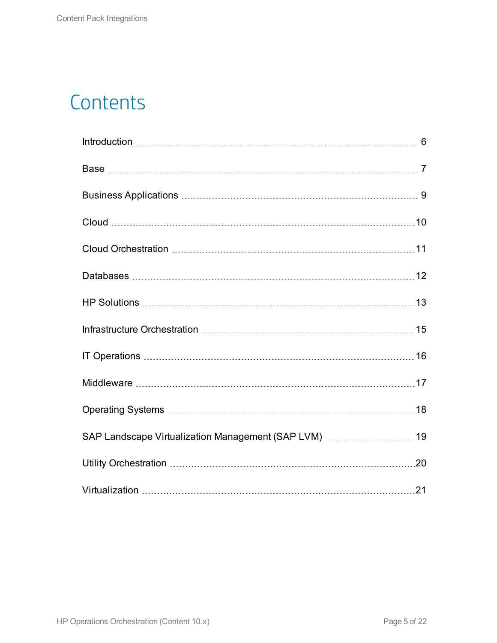#### **Contents**

| SAP Landscape Virtualization Management (SAP LVM) 19 |  |
|------------------------------------------------------|--|
|                                                      |  |
|                                                      |  |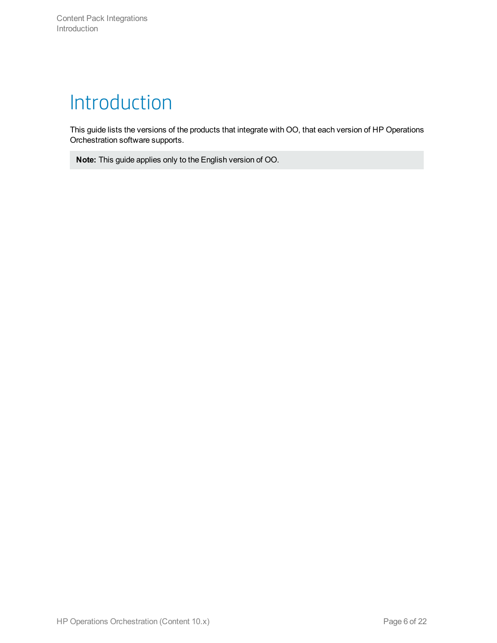### <span id="page-5-0"></span>Introduction

This guide lists the versions of the products that integrate with OO, that each version of HP Operations Orchestration software supports.

**Note:** This guide applies only to the English version of OO.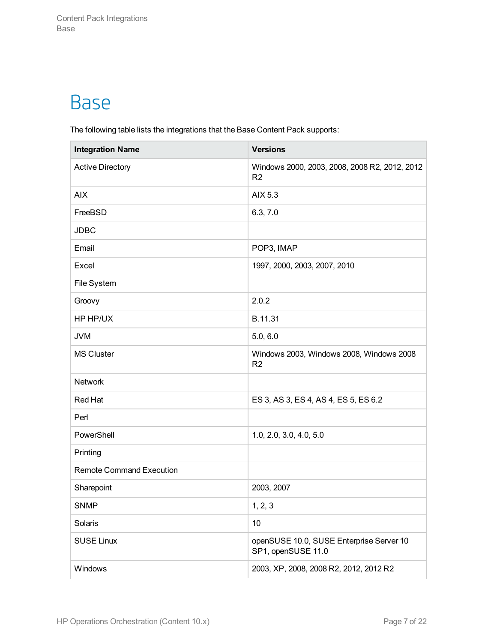#### <span id="page-6-0"></span>Base

The following table lists the integrations that the Base Content Pack supports:

| <b>Integration Name</b>         | <b>Versions</b>                                                 |
|---------------------------------|-----------------------------------------------------------------|
| <b>Active Directory</b>         | Windows 2000, 2003, 2008, 2008 R2, 2012, 2012<br>R <sub>2</sub> |
| <b>AIX</b>                      | AIX 5.3                                                         |
| FreeBSD                         | 6.3, 7.0                                                        |
| <b>JDBC</b>                     |                                                                 |
| Email                           | POP3, IMAP                                                      |
| Excel                           | 1997, 2000, 2003, 2007, 2010                                    |
| File System                     |                                                                 |
| Groovy                          | 2.0.2                                                           |
| HP HP/UX                        | B.11.31                                                         |
| <b>JVM</b>                      | 5.0, 6.0                                                        |
| <b>MS Cluster</b>               | Windows 2003, Windows 2008, Windows 2008<br>R <sub>2</sub>      |
| Network                         |                                                                 |
| <b>Red Hat</b>                  | ES 3, AS 3, ES 4, AS 4, ES 5, ES 6.2                            |
| Perl                            |                                                                 |
| PowerShell                      | 1.0, 2.0, 3.0, 4.0, 5.0                                         |
| Printing                        |                                                                 |
| <b>Remote Command Execution</b> |                                                                 |
| Sharepoint                      | 2003, 2007                                                      |
| <b>SNMP</b>                     | 1, 2, 3                                                         |
| Solaris                         | 10                                                              |
| <b>SUSE Linux</b>               | openSUSE 10.0, SUSE Enterprise Server 10<br>SP1, openSUSE 11.0  |
| Windows                         | 2003, XP, 2008, 2008 R2, 2012, 2012 R2                          |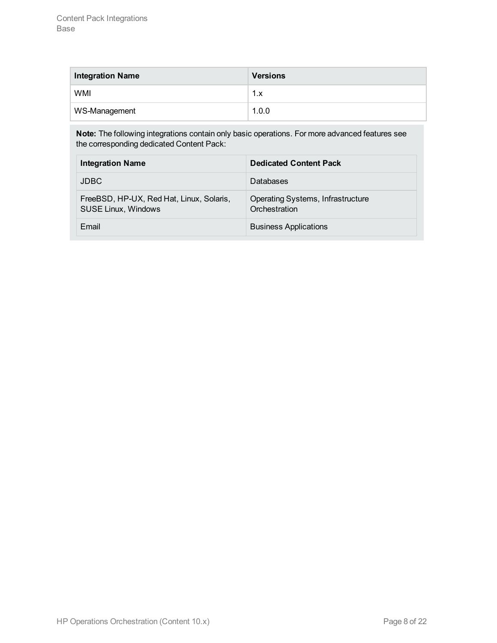| <b>Integration Name</b> | <b>Versions</b> |
|-------------------------|-----------------|
| <b>WMI</b>              | 1.x             |
| WS-Management           | 1.0.0           |

**Note:** The following integrations contain only basic operations. For more advanced features see the corresponding dedicated Content Pack:

| <b>Integration Name</b>                                                | <b>Dedicated Content Pack</b>                      |
|------------------------------------------------------------------------|----------------------------------------------------|
| <b>JDBC</b>                                                            | Databases                                          |
| FreeBSD, HP-UX, Red Hat, Linux, Solaris,<br><b>SUSE Linux, Windows</b> | Operating Systems, Infrastructure<br>Orchestration |
| Email                                                                  | <b>Business Applications</b>                       |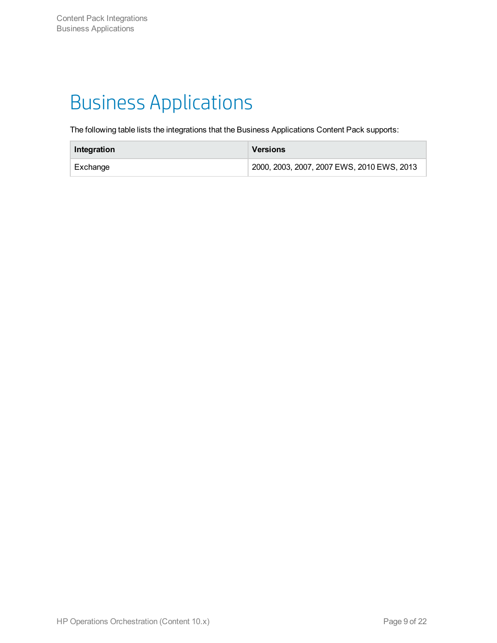#### <span id="page-8-0"></span>Business Applications

The following table lists the integrations that the Business Applications Content Pack supports:

| Integration | <b>Versions</b>                                  |
|-------------|--------------------------------------------------|
| Exchange    | $\pm$ 2000, 2003, 2007, 2007 EWS, 2010 EWS, 2013 |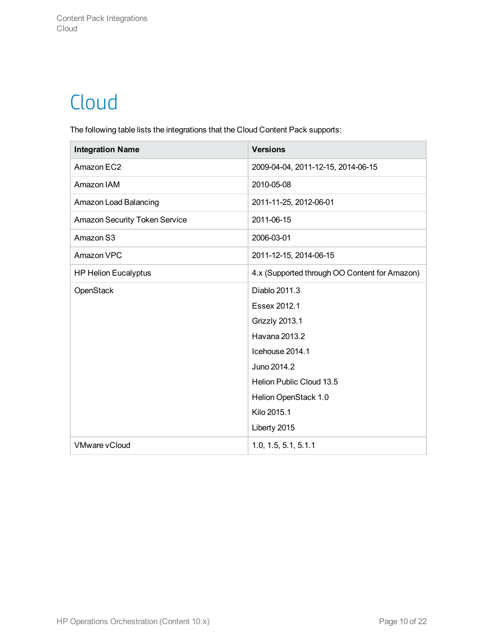## <span id="page-9-0"></span>Cloud

The following table lists the integrations that the Cloud Content Pack supports:

| <b>Integration Name</b>       | <b>Versions</b>                               |
|-------------------------------|-----------------------------------------------|
| Amazon EC2                    | 2009-04-04, 2011-12-15, 2014-06-15            |
| Amazon IAM                    | 2010-05-08                                    |
| Amazon Load Balancing         | 2011-11-25, 2012-06-01                        |
| Amazon Security Token Service | 2011-06-15                                    |
| Amazon S3                     | 2006-03-01                                    |
| Amazon VPC                    | 2011-12-15, 2014-06-15                        |
| <b>HP Helion Eucalyptus</b>   | 4.x (Supported through OO Content for Amazon) |
| OpenStack                     | Diablo 2011.3                                 |
|                               | Essex 2012.1                                  |
|                               | Grizzly 2013.1                                |
|                               | <b>Havana 2013.2</b>                          |
|                               | Icehouse 2014.1                               |
|                               | Juno 2014.2                                   |
|                               | Helion Public Cloud 13.5                      |
|                               | Helion OpenStack 1.0                          |
|                               | Kilo 2015.1                                   |
|                               | Liberty 2015                                  |
| <b>VMware vCloud</b>          | 1.0, 1.5, 5.1, 5.1.1                          |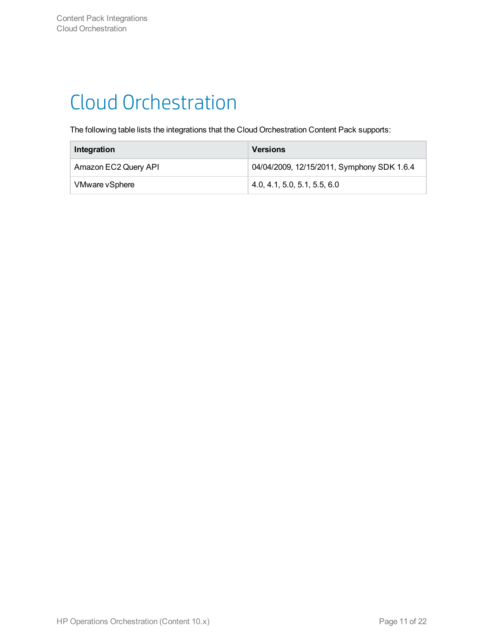### <span id="page-10-0"></span>Cloud Orchestration

The following table lists the integrations that the Cloud Orchestration Content Pack supports:

| Integration          | <b>Versions</b>                            |
|----------------------|--------------------------------------------|
| Amazon EC2 Query API | 04/04/2009, 12/15/2011, Symphony SDK 1.6.4 |
| VMware vSphere       | 4.0, 4.1, 5.0, 5.1, 5.5, 6.0               |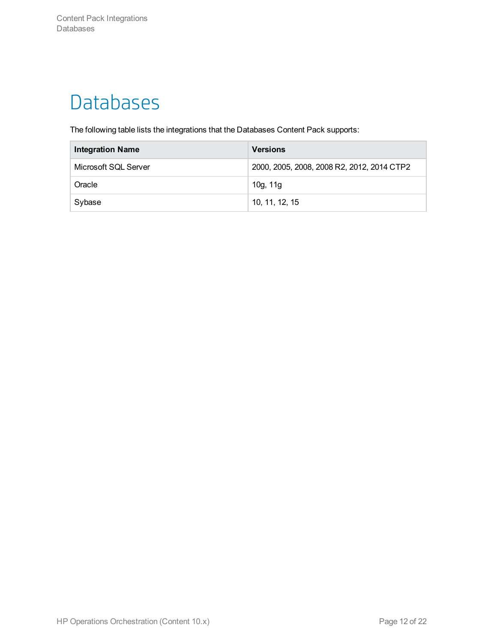### <span id="page-11-0"></span>**Databases**

The following table lists the integrations that the Databases Content Pack supports:

| <b>Integration Name</b> | <b>Versions</b>                            |
|-------------------------|--------------------------------------------|
| Microsoft SQL Server    | 2000, 2005, 2008, 2008 R2, 2012, 2014 CTP2 |
| Oracle                  | 10g, 11g                                   |
| Sybase                  | 10, 11, 12, 15                             |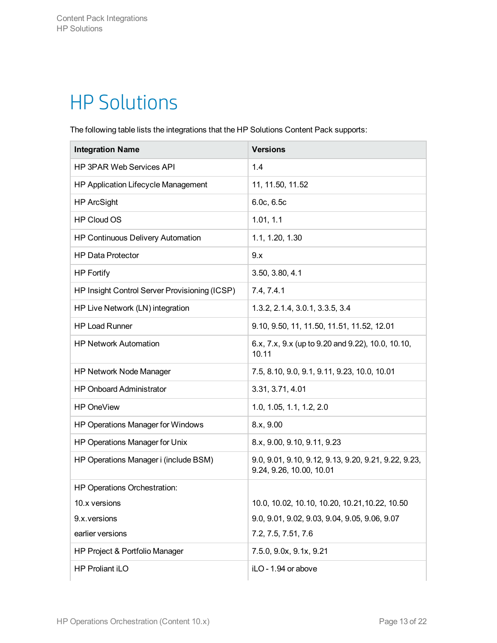## <span id="page-12-0"></span>HP Solutions

The following table lists the integrations that the HP Solutions Content Pack supports:

| <b>Integration Name</b>                       | <b>Versions</b>                                                                  |
|-----------------------------------------------|----------------------------------------------------------------------------------|
| HP 3PAR Web Services API                      | 1.4                                                                              |
| HP Application Lifecycle Management           | 11, 11.50, 11.52                                                                 |
| <b>HP ArcSight</b>                            | 6.0c, 6.5c                                                                       |
| <b>HP Cloud OS</b>                            | 1.01, 1.1                                                                        |
| HP Continuous Delivery Automation             | 1.1, 1.20, 1.30                                                                  |
| <b>HP Data Protector</b>                      | 9.x                                                                              |
| <b>HP Fortify</b>                             | 3.50, 3.80, 4.1                                                                  |
| HP Insight Control Server Provisioning (ICSP) | 7.4, 7.4.1                                                                       |
| HP Live Network (LN) integration              | 1.3.2, 2.1.4, 3.0.1, 3.3.5, 3.4                                                  |
| <b>HP Load Runner</b>                         | 9.10, 9.50, 11, 11.50, 11.51, 11.52, 12.01                                       |
| <b>HP Network Automation</b>                  | 6.x, 7.x, 9.x (up to 9.20 and 9.22), 10.0, 10.10,<br>10.11                       |
| HP Network Node Manager                       | 7.5, 8.10, 9.0, 9.1, 9.11, 9.23, 10.0, 10.01                                     |
| <b>HP Onboard Administrator</b>               | 3.31, 3.71, 4.01                                                                 |
| <b>HP OneView</b>                             | 1.0, 1.05, 1.1, 1.2, 2.0                                                         |
| HP Operations Manager for Windows             | 8.x, 9.00                                                                        |
| HP Operations Manager for Unix                | 8.x, 9.00, 9.10, 9.11, 9.23                                                      |
| HP Operations Manager i (include BSM)         | 9.0, 9.01, 9.10, 9.12, 9.13, 9.20, 9.21, 9.22, 9.23,<br>9.24, 9.26, 10.00, 10.01 |
| HP Operations Orchestration:                  |                                                                                  |
| 10.x versions                                 | 10.0, 10.02, 10.10, 10.20, 10.21, 10.22, 10.50                                   |
| 9.x. versions                                 | 9.0, 9.01, 9.02, 9.03, 9.04, 9.05, 9.06, 9.07                                    |
| earlier versions                              | 7.2, 7.5, 7.51, 7.6                                                              |
| HP Project & Portfolio Manager                | 7.5.0, 9.0x, 9.1x, 9.21                                                          |
| HP Proliant iLO                               | iLO - 1.94 or above                                                              |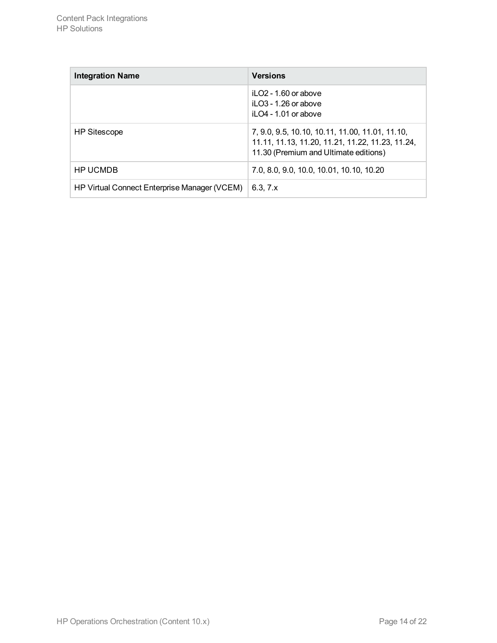| <b>Integration Name</b>                      | <b>Versions</b>                                                                                                                              |
|----------------------------------------------|----------------------------------------------------------------------------------------------------------------------------------------------|
|                                              | il $O2 - 1.60$ or above<br>$iLO3 - 1.26$ or above<br>il $O4 - 1.01$ or above                                                                 |
| <b>HP Sitescope</b>                          | 7, 9.0, 9.5, 10.10, 10.11, 11.00, 11.01, 11.10,<br>11.11, 11.13, 11.20, 11.21, 11.22, 11.23, 11.24,<br>11.30 (Premium and Ultimate editions) |
| <b>HP UCMDB</b>                              | 7.0, 8.0, 9.0, 10.0, 10.01, 10.10, 10.20                                                                                                     |
| HP Virtual Connect Enterprise Manager (VCEM) | 6.3.7x                                                                                                                                       |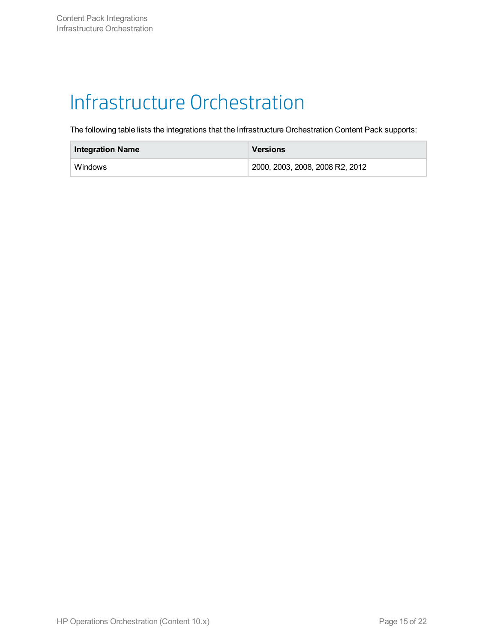#### <span id="page-14-0"></span>Infrastructure Orchestration

The following table lists the integrations that the Infrastructure Orchestration Content Pack supports:

| <b>Integration Name</b> | <b>Versions</b>                 |
|-------------------------|---------------------------------|
| Windows                 | 2000, 2003, 2008, 2008 R2, 2012 |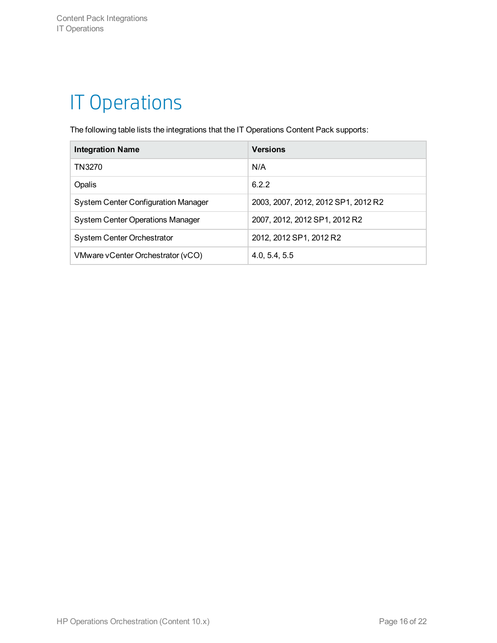## <span id="page-15-0"></span>IT Operations

The following table lists the integrations that the IT Operations Content Pack supports:

| <b>Integration Name</b>                    | <b>Versions</b>                     |
|--------------------------------------------|-------------------------------------|
| TN3270                                     | N/A                                 |
| Opalis                                     | 6.2.2                               |
| <b>System Center Configuration Manager</b> | 2003, 2007, 2012, 2012 SP1, 2012 R2 |
| <b>System Center Operations Manager</b>    | 2007, 2012, 2012 SP1, 2012 R2       |
| <b>System Center Orchestrator</b>          | 2012, 2012 SP1, 2012 R2             |
| VMware vCenter Orchestrator (vCO)          | 4.0, 5.4, 5.5                       |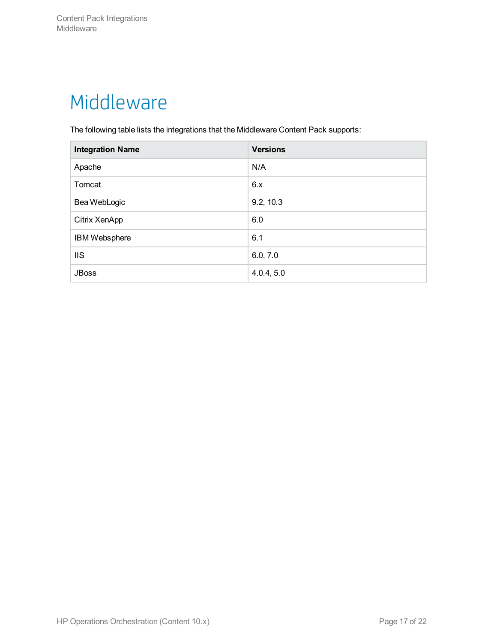## <span id="page-16-0"></span>Middleware

The following table lists the integrations that the Middleware Content Pack supports:

| <b>Integration Name</b> | <b>Versions</b> |
|-------------------------|-----------------|
| Apache                  | N/A             |
| Tomcat                  | 6.x             |
| Bea WebLogic            | 9.2, 10.3       |
| Citrix XenApp           | 6.0             |
| <b>IBM Websphere</b>    | 6.1             |
| <b>IIS</b>              | 6.0, 7.0        |
| <b>JBoss</b>            | 4.0.4, 5.0      |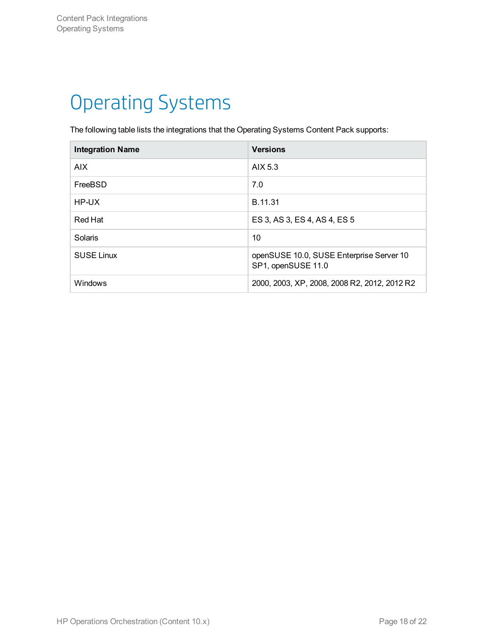#### <span id="page-17-0"></span>Operating Systems

The following table lists the integrations that the Operating Systems Content Pack supports:

| <b>Integration Name</b> | <b>Versions</b>                                                |
|-------------------------|----------------------------------------------------------------|
| <b>AIX</b>              | AIX 5.3                                                        |
| FreeBSD                 | 7.0                                                            |
| HP-UX                   | B.11.31                                                        |
| Red Hat                 | ES 3, AS 3, ES 4, AS 4, ES 5                                   |
| Solaris                 | 10                                                             |
| <b>SUSE Linux</b>       | openSUSE 10.0, SUSE Enterprise Server 10<br>SP1, openSUSE 11.0 |
| <b>Windows</b>          | 2000, 2003, XP, 2008, 2008 R2, 2012, 2012 R2                   |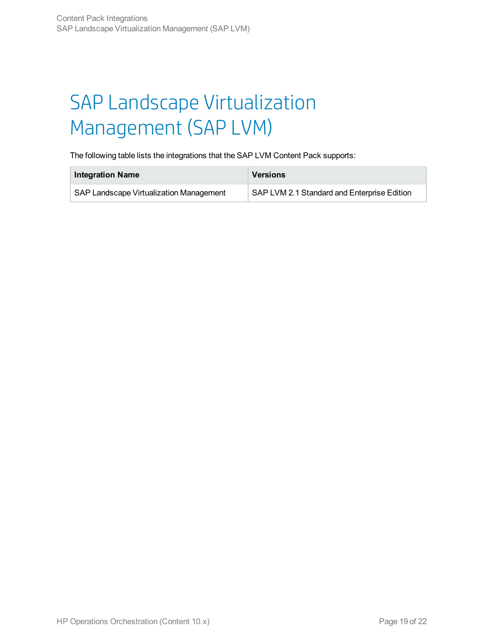## <span id="page-18-0"></span>SAP Landscape Virtualization Management (SAP LVM)

The following table lists the integrations that the SAP LVM Content Pack supports:

| <b>Integration Name</b>                 | <b>Versions</b>                             |
|-----------------------------------------|---------------------------------------------|
| SAP Landscape Virtualization Management | SAP LVM 2.1 Standard and Enterprise Edition |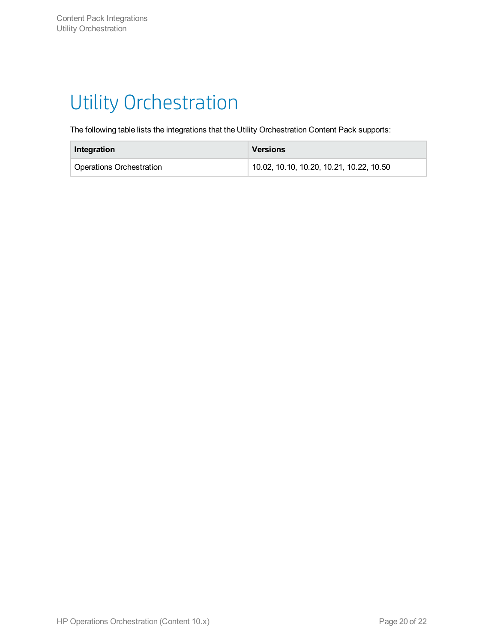### <span id="page-19-0"></span>Utility Orchestration

The following table lists the integrations that the Utility Orchestration Content Pack supports:

| Integration                     | <b>Versions</b>                          |
|---------------------------------|------------------------------------------|
| <b>Operations Orchestration</b> | 10.02, 10.10, 10.20, 10.21, 10.22, 10.50 |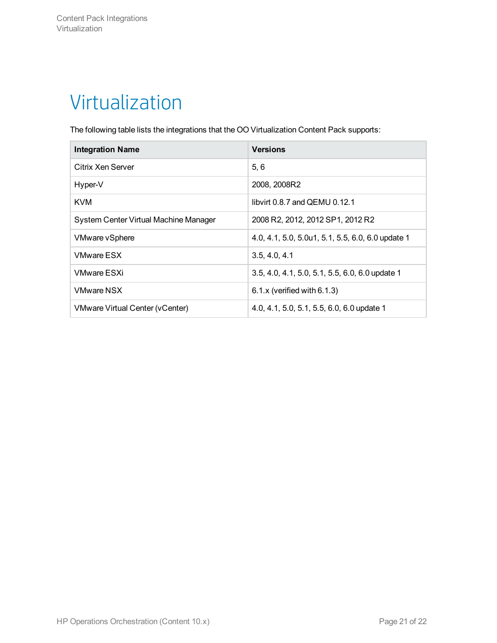## <span id="page-20-0"></span>Virtualization

The following table lists the integrations that the OO Virtualization Content Pack supports:

| <b>Integration Name</b>                | <b>Versions</b>                                   |
|----------------------------------------|---------------------------------------------------|
| Citrix Xen Server                      | 5.6                                               |
| Hyper-V                                | 2008, 2008R2                                      |
| <b>KVM</b>                             | libvirt 0.8.7 and QEMU 0.12.1                     |
| System Center Virtual Machine Manager  | 2008 R2, 2012, 2012 SP1, 2012 R2                  |
| <b>VMware vSphere</b>                  | 4.0, 4.1, 5.0, 5.0u1, 5.1, 5.5, 6.0, 6.0 update 1 |
| <b>VMware ESX</b>                      | 3.5, 4.0, 4.1                                     |
| VMware ESXi                            | 3.5, 4.0, 4.1, 5.0, 5.1, 5.5, 6.0, 6.0 update 1   |
| <b>VMware NSX</b>                      | $6.1.x$ (verified with $6.1.3$ )                  |
| <b>VMware Virtual Center (vCenter)</b> | 4.0, 4.1, 5.0, 5.1, 5.5, 6.0, 6.0 update 1        |